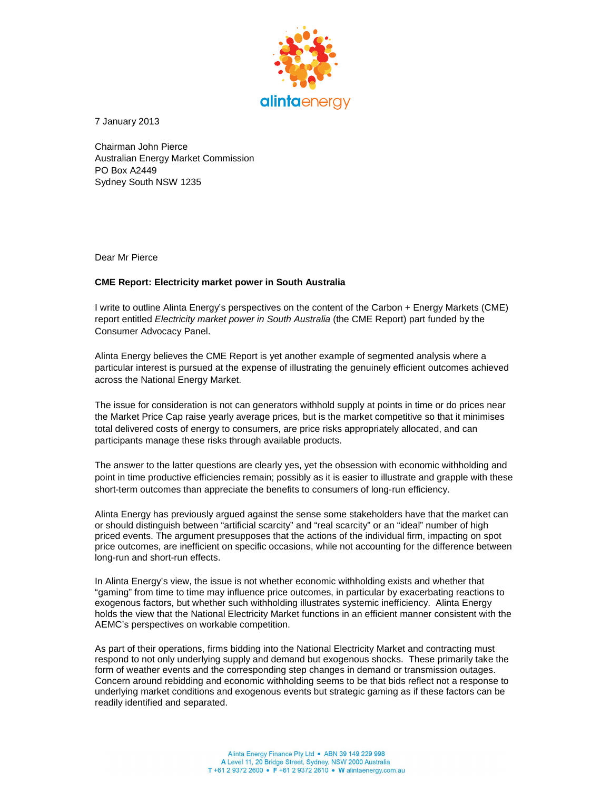

7 January 2013

Chairman John Pierce Australian Energy Market Commission PO Box A2449 Sydney South NSW 1235

Dear Mr Pierce

## **CME Report: Electricity market power in South Australia**

I write to outline Alinta Energy's perspectives on the content of the Carbon + Energy Markets (CME) report entitled Electricity market power in South Australia (the CME Report) part funded by the Consumer Advocacy Panel.

Alinta Energy believes the CME Report is yet another example of segmented analysis where a particular interest is pursued at the expense of illustrating the genuinely efficient outcomes achieved across the National Energy Market.

The issue for consideration is not can generators withhold supply at points in time or do prices near the Market Price Cap raise yearly average prices, but is the market competitive so that it minimises total delivered costs of energy to consumers, are price risks appropriately allocated, and can participants manage these risks through available products.

The answer to the latter questions are clearly yes, yet the obsession with economic withholding and point in time productive efficiencies remain; possibly as it is easier to illustrate and grapple with these short-term outcomes than appreciate the benefits to consumers of long-run efficiency.

Alinta Energy has previously argued against the sense some stakeholders have that the market can or should distinguish between "artificial scarcity" and "real scarcity" or an "ideal" number of high priced events. The argument presupposes that the actions of the individual firm, impacting on spot price outcomes, are inefficient on specific occasions, while not accounting for the difference between long-run and short-run effects.

In Alinta Energy's view, the issue is not whether economic withholding exists and whether that "gaming" from time to time may influence price outcomes, in particular by exacerbating reactions to exogenous factors, but whether such withholding illustrates systemic inefficiency. Alinta Energy holds the view that the National Electricity Market functions in an efficient manner consistent with the AEMC's perspectives on workable competition.

As part of their operations, firms bidding into the National Electricity Market and contracting must respond to not only underlying supply and demand but exogenous shocks. These primarily take the form of weather events and the corresponding step changes in demand or transmission outages. Concern around rebidding and economic withholding seems to be that bids reflect not a response to underlying market conditions and exogenous events but strategic gaming as if these factors can be readily identified and separated.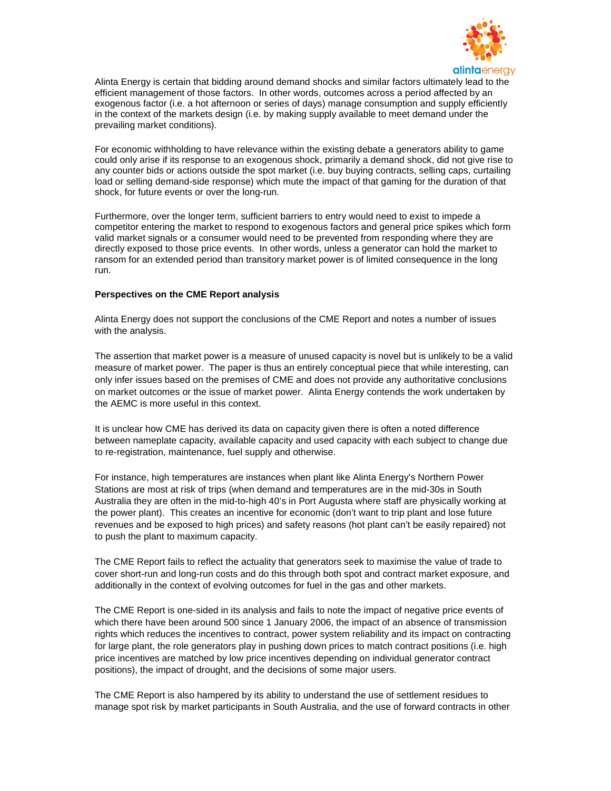

Alinta Energy is certain that bidding around demand shocks and similar factors ultimately lead to the efficient management of those factors. In other words, outcomes across a period affected by an exogenous factor (i.e. a hot afternoon or series of days) manage consumption and supply efficiently in the context of the markets design (i.e. by making supply available to meet demand under the prevailing market conditions).

For economic withholding to have relevance within the existing debate a generators ability to game could only arise if its response to an exogenous shock, primarily a demand shock, did not give rise to any counter bids or actions outside the spot market (i.e. buy buying contracts, selling caps, curtailing load or selling demand-side response) which mute the impact of that gaming for the duration of that shock, for future events or over the long-run.

Furthermore, over the longer term, sufficient barriers to entry would need to exist to impede a competitor entering the market to respond to exogenous factors and general price spikes which form valid market signals or a consumer would need to be prevented from responding where they are directly exposed to those price events. In other words, unless a generator can hold the market to ransom for an extended period than transitory market power is of limited consequence in the long run.

## **Perspectives on the CME Report analysis**

Alinta Energy does not support the conclusions of the CME Report and notes a number of issues with the analysis.

The assertion that market power is a measure of unused capacity is novel but is unlikely to be a valid measure of market power. The paper is thus an entirely conceptual piece that while interesting, can only infer issues based on the premises of CME and does not provide any authoritative conclusions on market outcomes or the issue of market power. Alinta Energy contends the work undertaken by the AEMC is more useful in this context.

It is unclear how CME has derived its data on capacity given there is often a noted difference between nameplate capacity, available capacity and used capacity with each subject to change due to re-registration, maintenance, fuel supply and otherwise.

For instance, high temperatures are instances when plant like Alinta Energy's Northern Power Stations are most at risk of trips (when demand and temperatures are in the mid-30s in South Australia they are often in the mid-to-high 40's in Port Augusta where staff are physically working at the power plant). This creates an incentive for economic (don't want to trip plant and lose future revenues and be exposed to high prices) and safety reasons (hot plant can't be easily repaired) not to push the plant to maximum capacity.

The CME Report fails to reflect the actuality that generators seek to maximise the value of trade to cover short-run and long-run costs and do this through both spot and contract market exposure, and additionally in the context of evolving outcomes for fuel in the gas and other markets.

The CME Report is one-sided in its analysis and fails to note the impact of negative price events of which there have been around 500 since 1 January 2006, the impact of an absence of transmission rights which reduces the incentives to contract, power system reliability and its impact on contracting for large plant, the role generators play in pushing down prices to match contract positions (i.e. high price incentives are matched by low price incentives depending on individual generator contract positions), the impact of drought, and the decisions of some major users.

The CME Report is also hampered by its ability to understand the use of settlement residues to manage spot risk by market participants in South Australia, and the use of forward contracts in other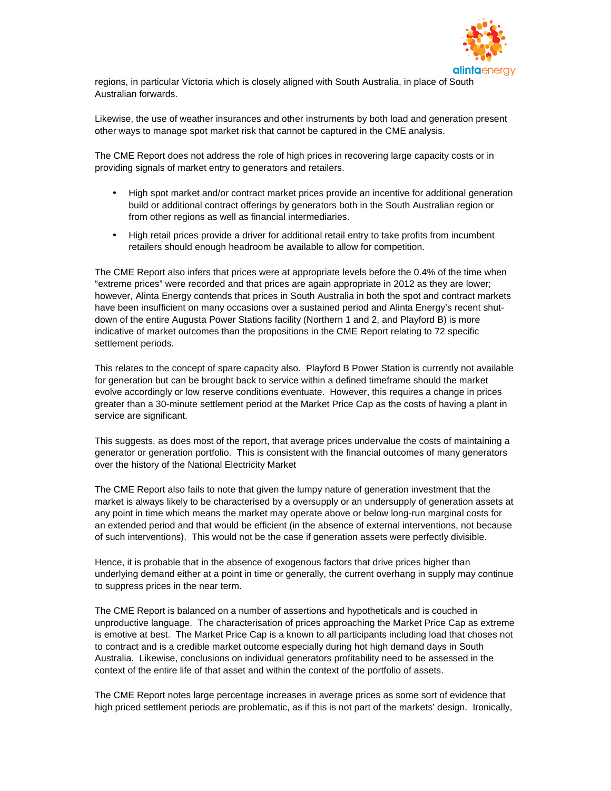

regions, in particular Victoria which is closely aligned with South Australia, in place of South Australian forwards.

Likewise, the use of weather insurances and other instruments by both load and generation present other ways to manage spot market risk that cannot be captured in the CME analysis.

The CME Report does not address the role of high prices in recovering large capacity costs or in providing signals of market entry to generators and retailers.

- High spot market and/or contract market prices provide an incentive for additional generation build or additional contract offerings by generators both in the South Australian region or from other regions as well as financial intermediaries.
- High retail prices provide a driver for additional retail entry to take profits from incumbent retailers should enough headroom be available to allow for competition.

The CME Report also infers that prices were at appropriate levels before the 0.4% of the time when "extreme prices" were recorded and that prices are again appropriate in 2012 as they are lower; however, Alinta Energy contends that prices in South Australia in both the spot and contract markets have been insufficient on many occasions over a sustained period and Alinta Energy's recent shutdown of the entire Augusta Power Stations facility (Northern 1 and 2, and Playford B) is more indicative of market outcomes than the propositions in the CME Report relating to 72 specific settlement periods.

This relates to the concept of spare capacity also. Playford B Power Station is currently not available for generation but can be brought back to service within a defined timeframe should the market evolve accordingly or low reserve conditions eventuate. However, this requires a change in prices greater than a 30-minute settlement period at the Market Price Cap as the costs of having a plant in service are significant.

This suggests, as does most of the report, that average prices undervalue the costs of maintaining a generator or generation portfolio. This is consistent with the financial outcomes of many generators over the history of the National Electricity Market

The CME Report also fails to note that given the lumpy nature of generation investment that the market is always likely to be characterised by a oversupply or an undersupply of generation assets at any point in time which means the market may operate above or below long-run marginal costs for an extended period and that would be efficient (in the absence of external interventions, not because of such interventions). This would not be the case if generation assets were perfectly divisible.

Hence, it is probable that in the absence of exogenous factors that drive prices higher than underlying demand either at a point in time or generally, the current overhang in supply may continue to suppress prices in the near term.

The CME Report is balanced on a number of assertions and hypotheticals and is couched in unproductive language. The characterisation of prices approaching the Market Price Cap as extreme is emotive at best. The Market Price Cap is a known to all participants including load that choses not to contract and is a credible market outcome especially during hot high demand days in South Australia. Likewise, conclusions on individual generators profitability need to be assessed in the context of the entire life of that asset and within the context of the portfolio of assets.

The CME Report notes large percentage increases in average prices as some sort of evidence that high priced settlement periods are problematic, as if this is not part of the markets' design. Ironically,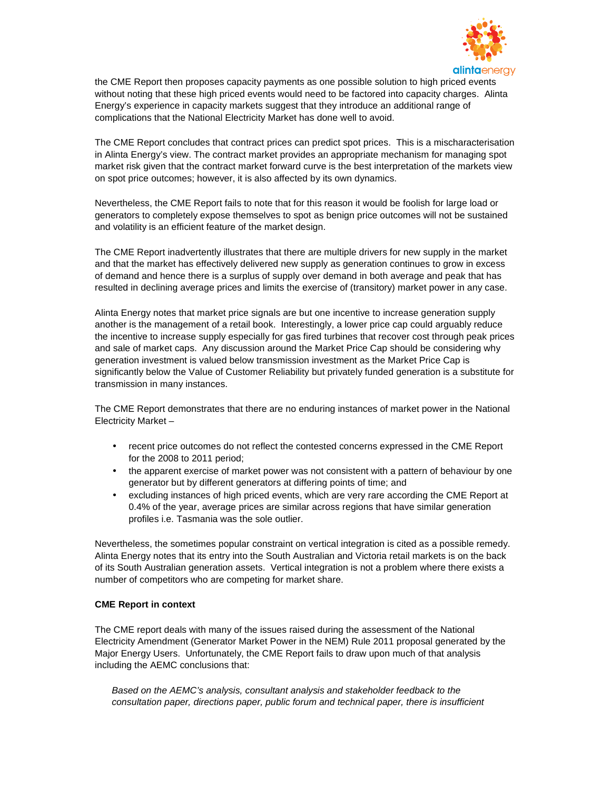

the CME Report then proposes capacity payments as one possible solution to high priced events without noting that these high priced events would need to be factored into capacity charges. Alinta Energy's experience in capacity markets suggest that they introduce an additional range of complications that the National Electricity Market has done well to avoid.

The CME Report concludes that contract prices can predict spot prices. This is a mischaracterisation in Alinta Energy's view. The contract market provides an appropriate mechanism for managing spot market risk given that the contract market forward curve is the best interpretation of the markets view on spot price outcomes; however, it is also affected by its own dynamics.

Nevertheless, the CME Report fails to note that for this reason it would be foolish for large load or generators to completely expose themselves to spot as benign price outcomes will not be sustained and volatility is an efficient feature of the market design.

The CME Report inadvertently illustrates that there are multiple drivers for new supply in the market and that the market has effectively delivered new supply as generation continues to grow in excess of demand and hence there is a surplus of supply over demand in both average and peak that has resulted in declining average prices and limits the exercise of (transitory) market power in any case.

Alinta Energy notes that market price signals are but one incentive to increase generation supply another is the management of a retail book. Interestingly, a lower price cap could arguably reduce the incentive to increase supply especially for gas fired turbines that recover cost through peak prices and sale of market caps. Any discussion around the Market Price Cap should be considering why generation investment is valued below transmission investment as the Market Price Cap is significantly below the Value of Customer Reliability but privately funded generation is a substitute for transmission in many instances.

The CME Report demonstrates that there are no enduring instances of market power in the National Electricity Market –

- recent price outcomes do not reflect the contested concerns expressed in the CME Report for the 2008 to 2011 period;
- the apparent exercise of market power was not consistent with a pattern of behaviour by one generator but by different generators at differing points of time; and
- excluding instances of high priced events, which are very rare according the CME Report at 0.4% of the year, average prices are similar across regions that have similar generation profiles i.e. Tasmania was the sole outlier.

Nevertheless, the sometimes popular constraint on vertical integration is cited as a possible remedy. Alinta Energy notes that its entry into the South Australian and Victoria retail markets is on the back of its South Australian generation assets. Vertical integration is not a problem where there exists a number of competitors who are competing for market share.

## **CME Report in context**

The CME report deals with many of the issues raised during the assessment of the National Electricity Amendment (Generator Market Power in the NEM) Rule 2011 proposal generated by the Major Energy Users. Unfortunately, the CME Report fails to draw upon much of that analysis including the AEMC conclusions that:

Based on the AEMC's analysis, consultant analysis and stakeholder feedback to the consultation paper, directions paper, public forum and technical paper, there is insufficient